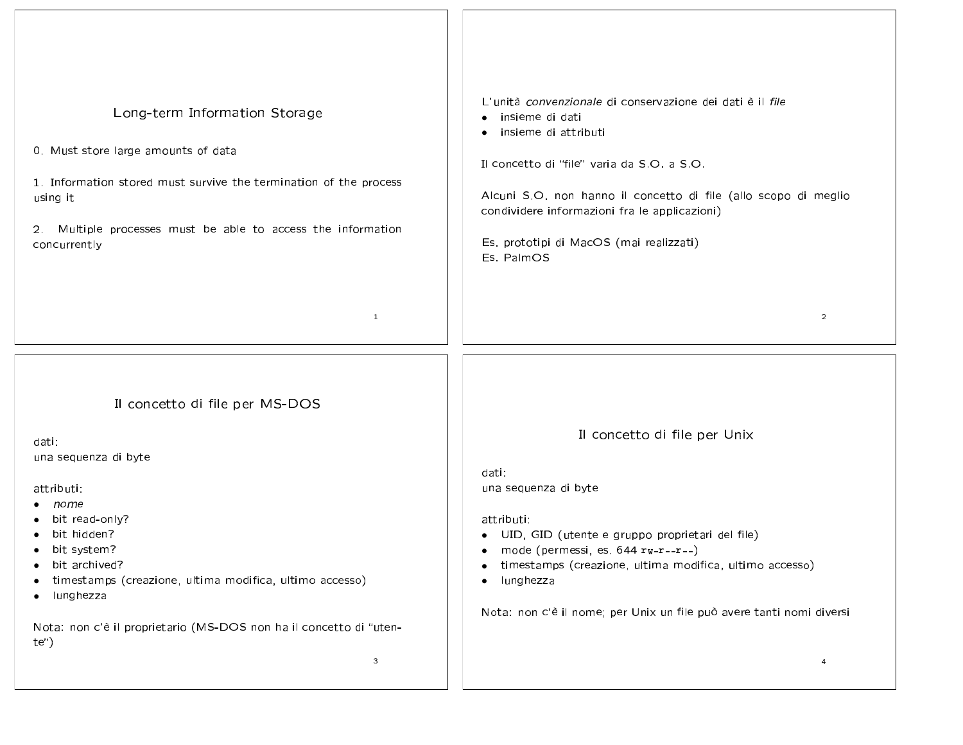| Long-term Information Storage<br>0. Must store large amounts of data<br>1. Information stored must survive the termination of the process<br>using it<br>2. Multiple processes must be able to access the information<br>concurrently<br>$\mathbf{1}$                                                                             | L'unità convenzionale di conservazione dei dati è il file<br>insieme di dati<br>insieme di attributi<br>$\bullet$<br>Il concetto di "file" varia da S.O. a S.O.<br>Alcuni S.O. non hanno il concetto di file (allo scopo di meglio<br>condividere informazioni fra le applicazioni)<br>Es. prototipi di MacOS (mai realizzati)<br>Es. PalmOS<br>$\overline{2}$          |
|-----------------------------------------------------------------------------------------------------------------------------------------------------------------------------------------------------------------------------------------------------------------------------------------------------------------------------------|-------------------------------------------------------------------------------------------------------------------------------------------------------------------------------------------------------------------------------------------------------------------------------------------------------------------------------------------------------------------------|
| Il concetto di file per MS-DOS<br>dati:<br>una sequenza di byte<br>attributi:<br>nome<br>bit read-only?<br>bit hidden?<br>bit system?<br>bit archived?<br>timestamps (creazione, ultima modifica, ultimo accesso)<br>lunghezza<br>٠<br>Nota: non c'è il proprietario (MS-DOS non ha il concetto di "uten-<br>te")<br>$\mathbf{3}$ | Il concetto di file per Unix<br>dati:<br>una sequenza di byte<br>attributi:<br>· UID, GID (utente e gruppo proprietari del file)<br>• mode (permessi, es. $644$ $rw-r-r-$ )<br>timestamps (creazione, ultima modifica, ultimo accesso)<br>$\bullet$<br>lunghezza<br>$\bullet$<br>Nota: non c'è il nome; per Unix un file può avere tanti nomi diversi<br>$\overline{a}$ |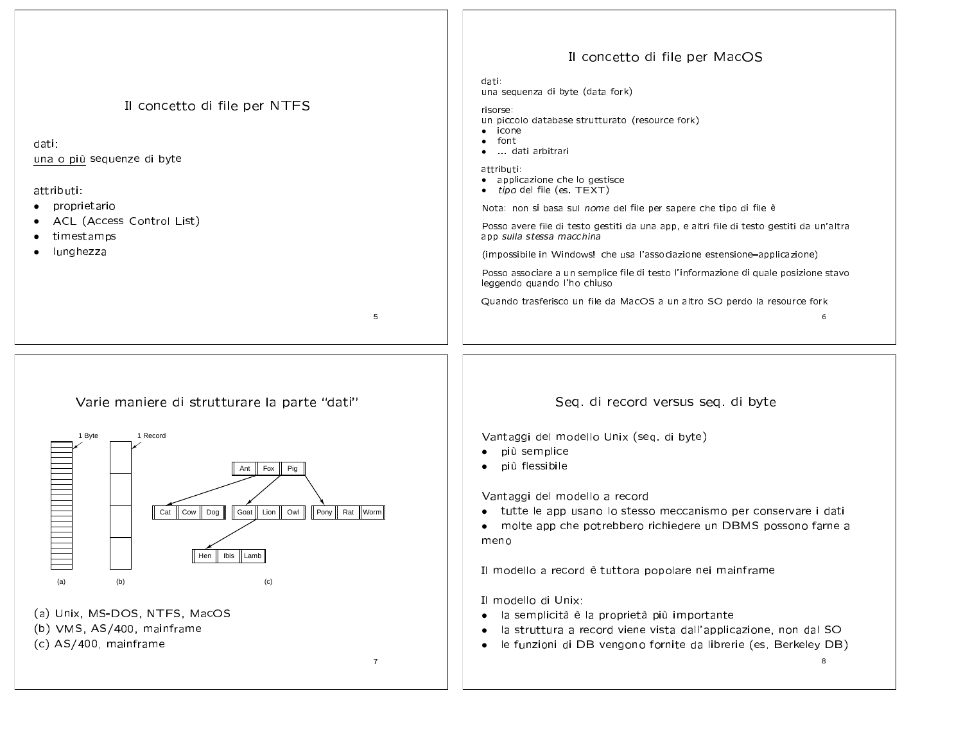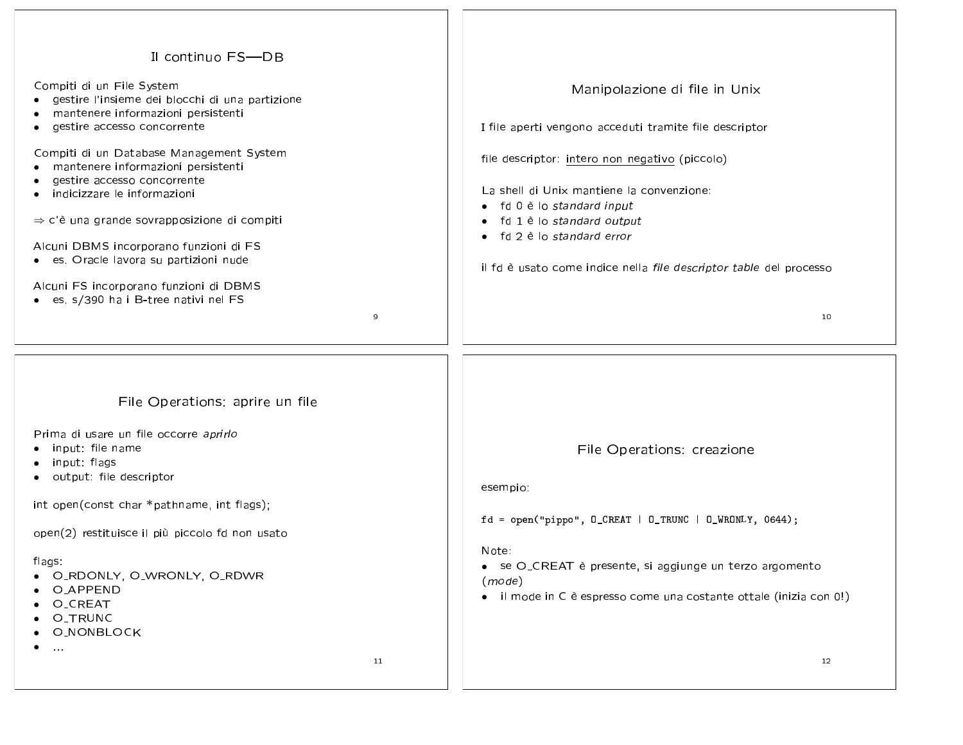| Il continuo FS-DB                                       |                                                                      |
|---------------------------------------------------------|----------------------------------------------------------------------|
| Compiti di un File System                               |                                                                      |
| gestire l'insieme dei blocchi di una partizione         | Manipolazione di file in Unix                                        |
| mantenere informazioni persistenti                      |                                                                      |
| gestire accesso concorrente                             | I file aperti vengono acceduti tramite file descriptor               |
|                                                         |                                                                      |
| Compiti di un Database Management System                | file descriptor: intero non negativo (piccolo)                       |
| mantenere informazioni persistenti                      |                                                                      |
| gestire accesso concorrente                             | La shell di Unix mantiene la convenzione:                            |
| indicizzare le informazioni                             |                                                                      |
| $\Rightarrow$ c'è una grande sovrapposizione di compiti | • fd 0 è lo standard input                                           |
|                                                         | fd 1 è lo standard output<br>$\bullet$<br>• fd 2 è lo standard error |
| Alcuni DBMS incorporano funzioni di FS                  |                                                                      |
| es. Oracle lavora su partizioni nude                    |                                                                      |
|                                                         | il fd è usato come indice nella file descriptor table del processo   |
| Alcuni FS incorporano funzioni di DBMS                  |                                                                      |
| • es. s/390 ha i B-tree nativi nel FS                   |                                                                      |
| 9                                                       | 10                                                                   |
|                                                         |                                                                      |
|                                                         |                                                                      |
|                                                         |                                                                      |
|                                                         |                                                                      |
| File Operations: aprire un file                         |                                                                      |
|                                                         |                                                                      |
| Prima di usare un file occorre aprirlo                  |                                                                      |
| input: file name                                        | File Operations: creazione                                           |
| input: flags                                            |                                                                      |
| output: file descriptor                                 |                                                                      |
|                                                         | esempio:                                                             |
| int open(const char *pathname, int flags);              |                                                                      |
|                                                         | $fd = open("pipe", 0_CREAT   0_TRUNC   0_WRONLY, 0644);$             |
| open(2) restituisce il più piccolo fd non usato         |                                                                      |
|                                                         | Note:                                                                |
| flags:                                                  | • se O_CREAT è presente, si aggiunge un terzo argomento              |
| • O_RDONLY, O_WRONLY, O_RDWR<br><b>O_APPEND</b>         | (mode)                                                               |
| O_CREAT                                                 | • il mode in C è espresso come una costante ottale (inizia con 0!)   |
| O_TRUNC                                                 |                                                                      |
| <b>O_NONBLOCK</b>                                       |                                                                      |
| $\alpha$ and                                            |                                                                      |
| 11                                                      | $12 \overline{ }$                                                    |
|                                                         |                                                                      |
|                                                         |                                                                      |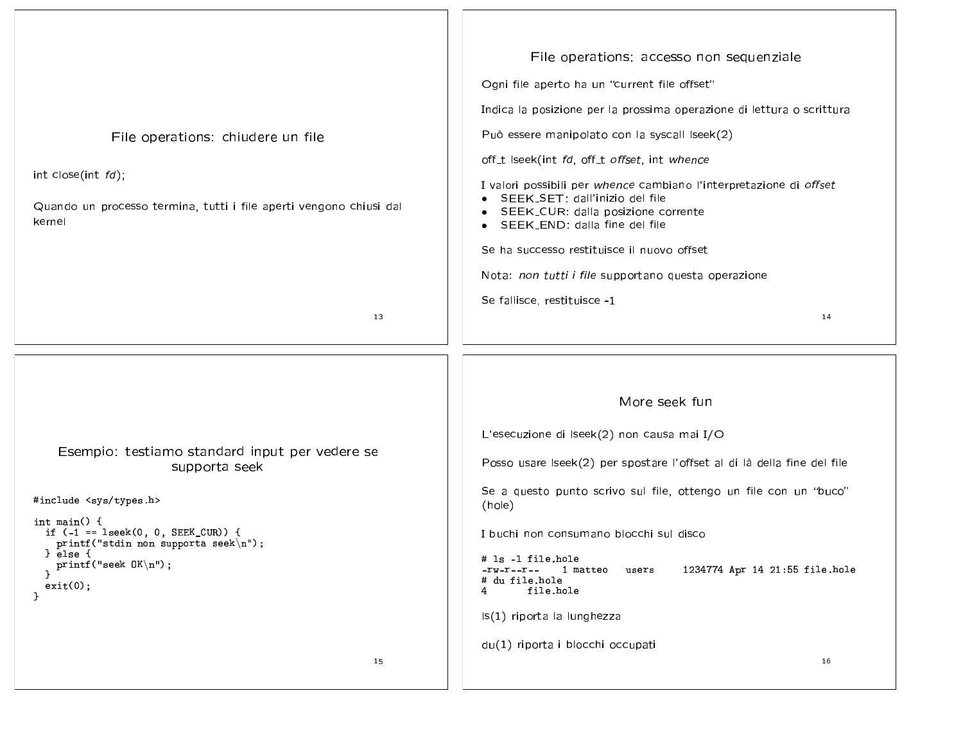File operations: accesso non sequenziale Ogni file aperto ha un "current file offset" Indica la posizione per la prossima operazione di lettura o scrittura Può essere manipolato con la syscall Iseek(2) File operations: chiudere un file off\_t Iseek(int fd, off\_t offset, int whence int close(int  $fd$ ); I valori possibili per whence cambiano l'interpretazione di offset • SEEK\_SET: dall'inizio del file Quando un processo termina, tutti i file aperti vengono chiusi dal • SEEK\_CUR: dalla posizione corrente kernel • SEEK\_END: dalla fine del file Se ha successo restituisce il nuovo offset Nota: non tutti i file supportano questa operazione Se fallisce, restituisce -1 13 14 More seek fun L'esecuzione di Iseek(2) non causa mai I/O Esempio: testiamo standard input per vedere se Posso usare Iseek(2) per spostare l'offset al di là della fine del file supporta seek Se a questo punto scrivo sul file, ottengo un file con un "buco" #include <sys/types.h> (hole) int main()  $\{$ if  $(-1 == \text{leek}(0, 0, \text{SEEK_CUR}))$  { I buchi non consumano blocchi sul disco printf("stdin non supporta seek $\langle n'' \rangle$ ;  $}$ else  $\{$ # 1s -1 file.hole  $print(f("seek OK\n')$ ;  $-rw-r--r--$  1 matteo users 1234774 Apr 14 21:55 file.hole # du file.hole  $exit(0);$ 4 file.hole  $\mathbf{r}$ Is(1) riporta la lunghezza du(1) riporta i blocchi occupati 15 16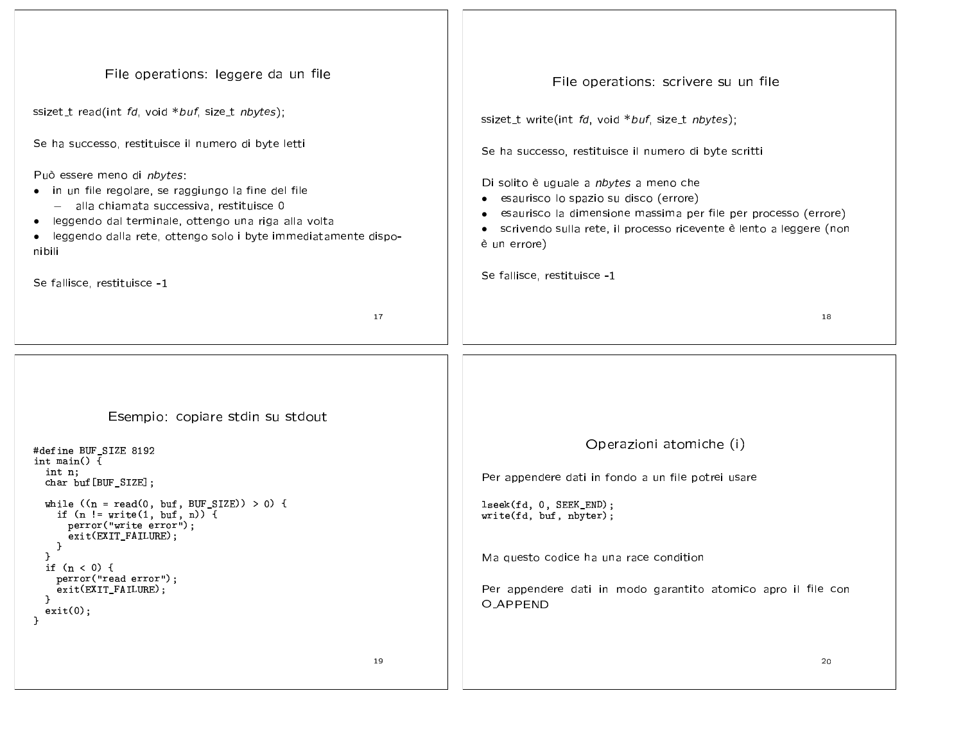| File operations: leggere da un file                                                                                                 | File operations: scrivere su un file                                                                    |
|-------------------------------------------------------------------------------------------------------------------------------------|---------------------------------------------------------------------------------------------------------|
| ssizet_t read(int fd, void *buf, size_t nbytes);                                                                                    | ssizet_t write(int fd, void *buf, size_t nbytes);                                                       |
| Se ha successo, restituisce il numero di byte letti                                                                                 | Se ha successo, restituisce il numero di byte scritti                                                   |
| Può essere meno di nbytes:                                                                                                          |                                                                                                         |
| • in un file regolare, se raggiungo la fine del file                                                                                | Di solito è uguale a nbytes a meno che                                                                  |
| - alla chiamata successiva, restituisce 0                                                                                           | esaurisco lo spazio su disco (errore)<br>esaurisco la dimensione massima per file per processo (errore) |
| · leggendo dal terminale, ottengo una riga alla volta<br>· leggendo dalla rete, ottengo solo i byte immediatamente dispo-<br>nibili | scrivendo sulla rete, il processo ricevente è lento a leggere (non<br>$\bullet$<br>è un errore)         |
| Se fallisce, restituisce -1                                                                                                         | Se fallisce, restituisce -1                                                                             |
|                                                                                                                                     |                                                                                                         |
| 17                                                                                                                                  | 18                                                                                                      |
|                                                                                                                                     |                                                                                                         |
|                                                                                                                                     |                                                                                                         |
|                                                                                                                                     |                                                                                                         |
| Esempio: copiare stdin su stdout                                                                                                    |                                                                                                         |
| #define BUF_SIZE 8192                                                                                                               | Operazioni atomiche (i)                                                                                 |
| int main() $\{$<br>int n;                                                                                                           |                                                                                                         |
| char buf [BUF_SIZE];                                                                                                                | Per appendere dati in fondo a un file potrei usare                                                      |
| while $((n = read(0, but, BUF_SIZE)) > 0)$ {<br>if $(n != write(1, but, n))$ {                                                      | lseek(fd, 0, SEEK_END);                                                                                 |
| perror("write error");<br>exit(EXIT_FAILURE);                                                                                       | write(fd, buf, nbyter);                                                                                 |
|                                                                                                                                     | Ma questo codice ha una race condition                                                                  |
| if $(n < 0)$ {<br>perror("read error");                                                                                             |                                                                                                         |
| exit(EXIT_FAILURE);                                                                                                                 | Per appendere dati in modo garantito atomico apro il file con                                           |
| exit(0);<br>$\mathcal{F}$                                                                                                           | <b>O_APPEND</b>                                                                                         |
|                                                                                                                                     |                                                                                                         |
| 19                                                                                                                                  | 20                                                                                                      |
|                                                                                                                                     |                                                                                                         |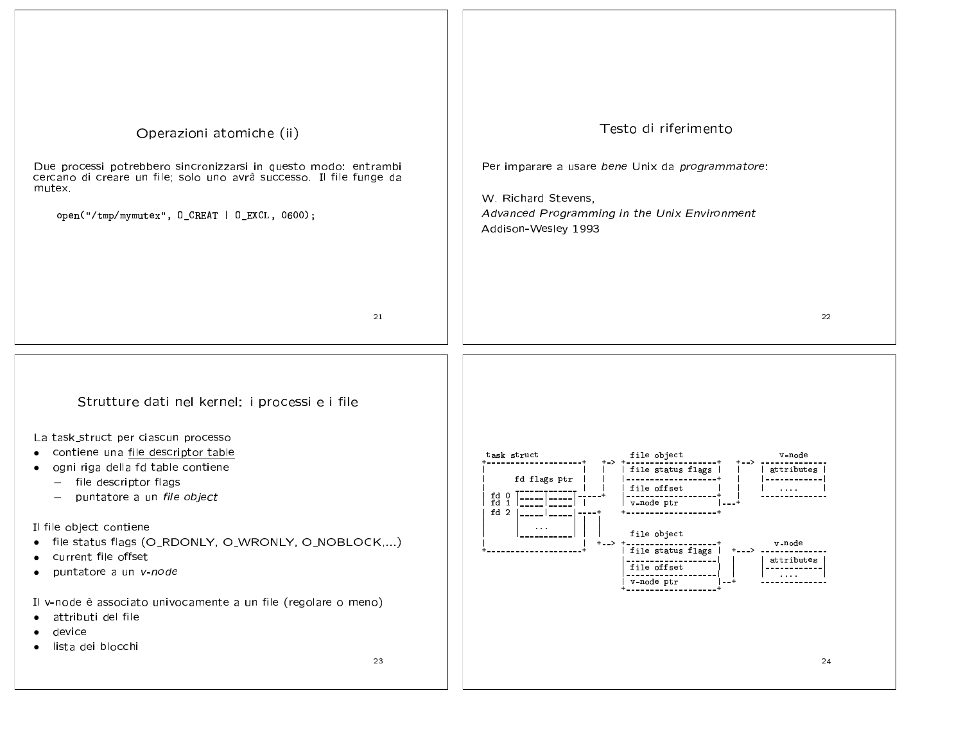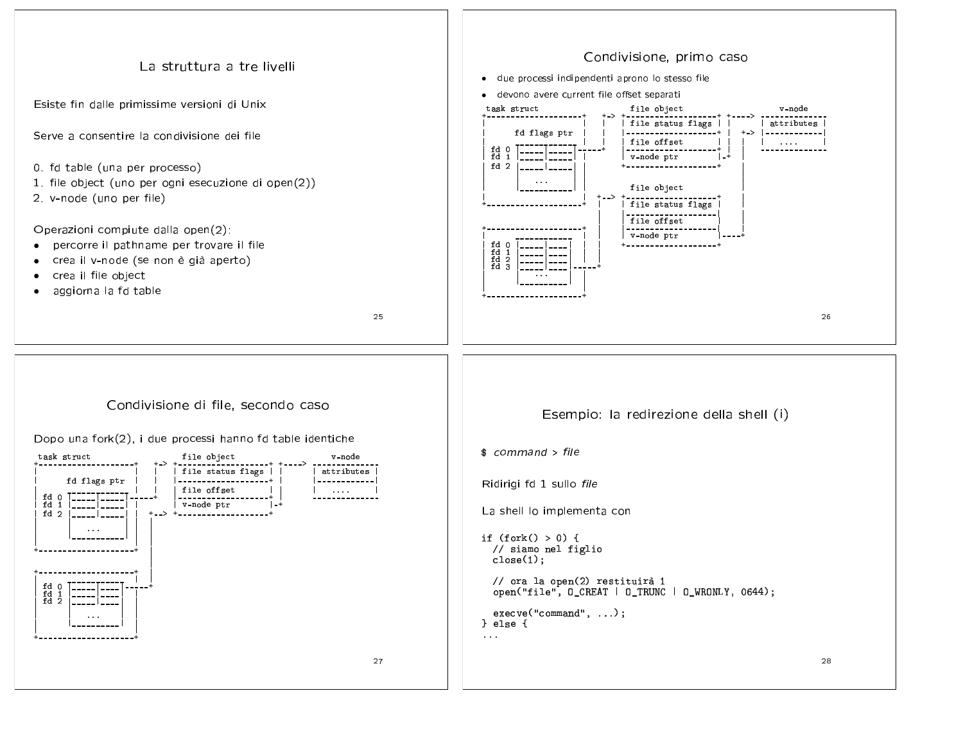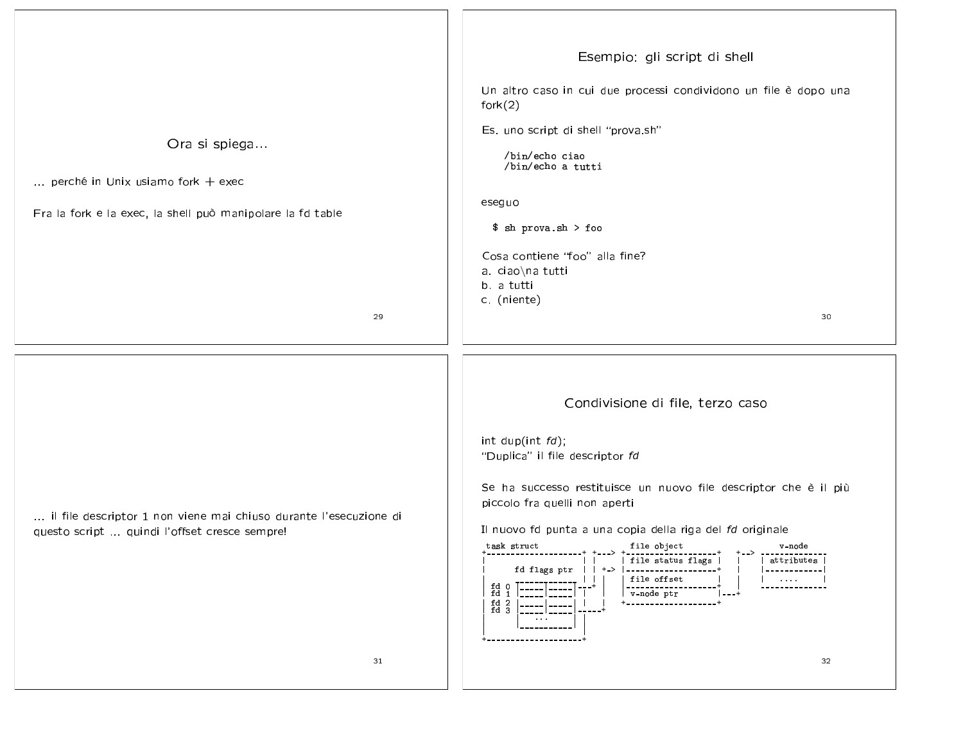| Ora si spiega<br>perché in Unix usiamo fork $+$ exec<br>Fra la fork e la exec, la shell può manipolare la fd table<br>29 | Esempio: gli script di shell<br>Un altro caso in cui due processi condividono un file è dopo una<br>fork(2)<br>Es. uno script di shell "prova sh"<br>/bin/echo ciao<br>/bin/echo a tutti<br>eseguo<br>$\ $$ sh prova.sh > foo<br>Cosa contiene 'foo" alla fine?<br>a ciao\na tutti<br>b. a tutti<br>c (niente)<br>30                                                                                                                                                                                                                                                                                                                                                                                     |
|--------------------------------------------------------------------------------------------------------------------------|----------------------------------------------------------------------------------------------------------------------------------------------------------------------------------------------------------------------------------------------------------------------------------------------------------------------------------------------------------------------------------------------------------------------------------------------------------------------------------------------------------------------------------------------------------------------------------------------------------------------------------------------------------------------------------------------------------|
| il file descriptor 1 non viene mai chiuso durante l'esecuzione di<br>questo script  quindi l'offset cresce sempre!<br>31 | Condivisione di file, terzo caso<br>int dup(int $fd$ );<br>"Duplica" il file descriptor fd<br>Se ha successo restituisce un nuovo file descriptor che è il più<br>piccolo fra quelli non aperti<br>Il nuovo fd punta a una copia della riga del fd originale<br>file object<br>task struct<br>v-node<br>$+--&}-------------$<br>-------- <del>-</del> ----------+<br>file status flags  <br>attributes<br>fd flags ptr<br>+->  -------------------+<br>------------<br>file offset<br>$\sim$ 100 $\sim$ 100 $\sim$<br>fd $\begin{bmatrix} 0 \\ 1 \end{bmatrix}$<br>------------<br>v-node ptr<br>$^{fd}_{fd}$ $^{2}_{3}$<br>+------------------+<br>-----<br>----- ا -----<br>$\sim$ $\sim$ $\sim$<br>32 |